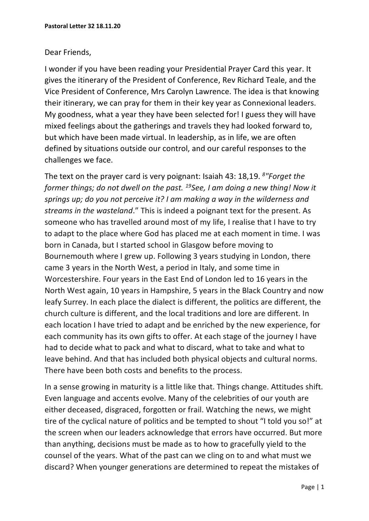## Dear Friends,

I wonder if you have been reading your Presidential Prayer Card this year. It gives the itinerary of the President of Conference, Rev Richard Teale, and the Vice President of Conference, Mrs Carolyn Lawrence. The idea is that knowing their itinerary, we can pray for them in their key year as Connexional leaders. My goodness, what a year they have been selected for! I guess they will have mixed feelings about the gatherings and travels they had looked forward to, but which have been made virtual. In leadership, as in life, we are often defined by situations outside our control, and our careful responses to the challenges we face.

The text on the prayer card is very poignant: Isaiah 43: 18,19. *<sup>8</sup> "Forget the former things; do not dwell on the past. <sup>19</sup>See, I am doing a new thing! Now it springs up; do you not perceive it? I am making a way in the wilderness and streams in the wasteland*." This is indeed a poignant text for the present. As someone who has travelled around most of my life, I realise that I have to try to adapt to the place where God has placed me at each moment in time. I was born in Canada, but I started school in Glasgow before moving to Bournemouth where I grew up. Following 3 years studying in London, there came 3 years in the North West, a period in Italy, and some time in Worcestershire. Four years in the East End of London led to 16 years in the North West again, 10 years in Hampshire, 5 years in the Black Country and now leafy Surrey. In each place the dialect is different, the politics are different, the church culture is different, and the local traditions and lore are different. In each location I have tried to adapt and be enriched by the new experience, for each community has its own gifts to offer. At each stage of the journey I have had to decide what to pack and what to discard, what to take and what to leave behind. And that has included both physical objects and cultural norms. There have been both costs and benefits to the process.

In a sense growing in maturity is a little like that. Things change. Attitudes shift. Even language and accents evolve. Many of the celebrities of our youth are either deceased, disgraced, forgotten or frail. Watching the news, we might tire of the cyclical nature of politics and be tempted to shout "I told you so!" at the screen when our leaders acknowledge that errors have occurred. But more than anything, decisions must be made as to how to gracefully yield to the counsel of the years. What of the past can we cling on to and what must we discard? When younger generations are determined to repeat the mistakes of